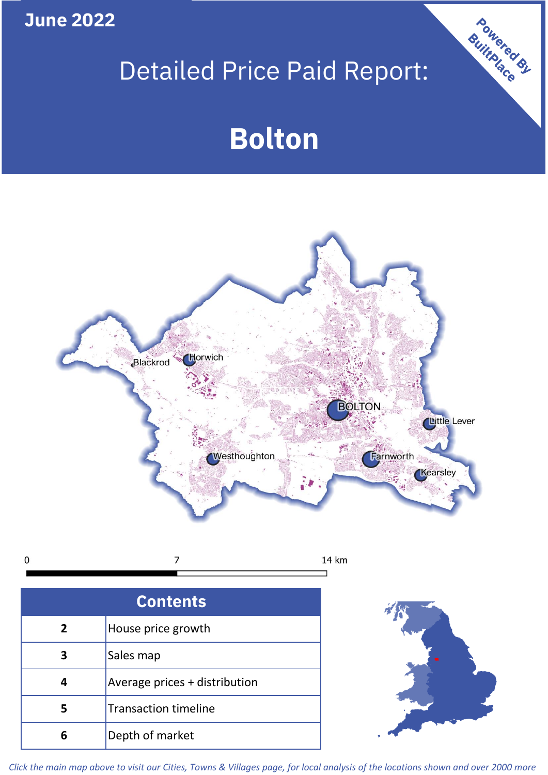**June 2022**

# Detailed Price Paid Report:

## **Bolton**



 $\mathbf 0$ 7 14 km

| <b>Contents</b> |                               |  |  |
|-----------------|-------------------------------|--|--|
| $\overline{2}$  | House price growth            |  |  |
|                 | Sales map                     |  |  |
|                 | Average prices + distribution |  |  |
| 5               | <b>Transaction timeline</b>   |  |  |
| ĥ               | Depth of market               |  |  |



Powered By

*Click the main map above to visit our Cities, Towns & Villages page, for local analysis of the locations shown and over 2000 more*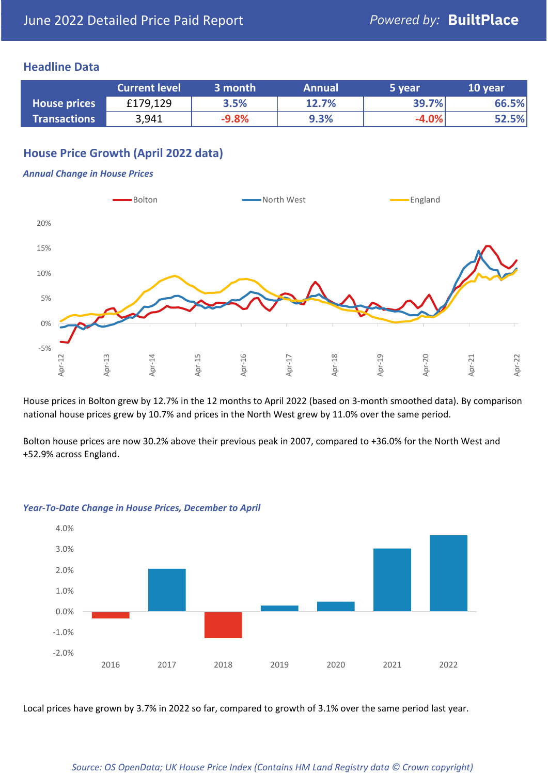#### **Headline Data**

|                     | <b>Current level</b> | 3 month | <b>Annual</b> | 5 year  | 10 year |
|---------------------|----------------------|---------|---------------|---------|---------|
| <b>House prices</b> | £179,129             | 3.5%    | 12.7%         | 39.7%   | 66.5%   |
| <b>Transactions</b> | 3,941                | $-9.8%$ | 9.3%          | $-4.0%$ | 52.5%   |

#### **House Price Growth (April 2022 data)**

#### *Annual Change in House Prices*



House prices in Bolton grew by 12.7% in the 12 months to April 2022 (based on 3-month smoothed data). By comparison national house prices grew by 10.7% and prices in the North West grew by 11.0% over the same period.

Bolton house prices are now 30.2% above their previous peak in 2007, compared to +36.0% for the North West and +52.9% across England.



#### *Year-To-Date Change in House Prices, December to April*

Local prices have grown by 3.7% in 2022 so far, compared to growth of 3.1% over the same period last year.

#### *Source: OS OpenData; UK House Price Index (Contains HM Land Registry data © Crown copyright)*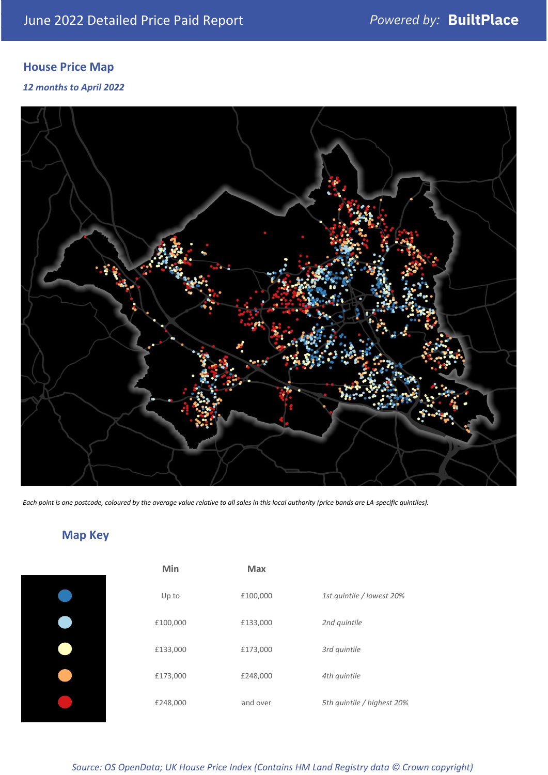### **House Price Map**

*12 months to April 2022*



*Each point is one postcode, coloured by the average value relative to all sales in this local authority (price bands are LA-specific quintiles).*

### **Map Key**

| Min      | <b>Max</b> |                            |
|----------|------------|----------------------------|
| Up to    | £100,000   | 1st quintile / lowest 20%  |
| £100,000 | £133,000   | 2nd quintile               |
| £133,000 | £173,000   | 3rd quintile               |
| £173,000 | £248,000   | 4th quintile               |
| £248,000 | and over   | 5th quintile / highest 20% |
|          |            |                            |

*Source: OS OpenData; UK House Price Index (Contains HM Land Registry data © Crown copyright)*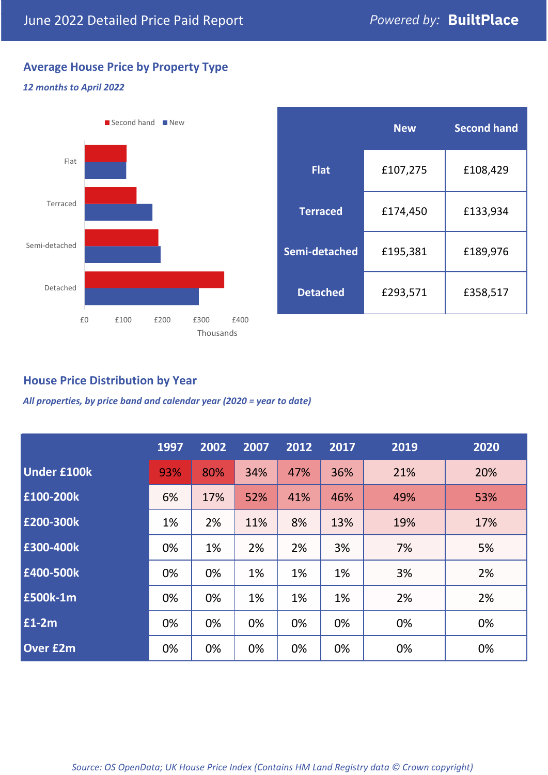### **Average House Price by Property Type**

#### *12 months to April 2022*



|                 | <b>New</b> | <b>Second hand</b> |  |  |
|-----------------|------------|--------------------|--|--|
| <b>Flat</b>     | £107,275   | £108,429           |  |  |
| <b>Terraced</b> | £174,450   | £133,934           |  |  |
| Semi-detached   | £195,381   | £189,976           |  |  |
| <b>Detached</b> | £293,571   | £358,517           |  |  |

#### **House Price Distribution by Year**

*All properties, by price band and calendar year (2020 = year to date)*

|                    | 1997 | 2002 | 2007 | 2012 | 2017 | 2019 | 2020 |
|--------------------|------|------|------|------|------|------|------|
| <b>Under £100k</b> | 93%  | 80%  | 34%  | 47%  | 36%  | 21%  | 20%  |
| £100-200k          | 6%   | 17%  | 52%  | 41%  | 46%  | 49%  | 53%  |
| E200-300k          | 1%   | 2%   | 11%  | 8%   | 13%  | 19%  | 17%  |
| £300-400k          | 0%   | 1%   | 2%   | 2%   | 3%   | 7%   | 5%   |
| £400-500k          | 0%   | 0%   | 1%   | 1%   | 1%   | 3%   | 2%   |
| <b>£500k-1m</b>    | 0%   | 0%   | 1%   | 1%   | 1%   | 2%   | 2%   |
| £1-2m              | 0%   | 0%   | 0%   | 0%   | 0%   | 0%   | 0%   |
| <b>Over £2m</b>    | 0%   | 0%   | 0%   | 0%   | 0%   | 0%   | 0%   |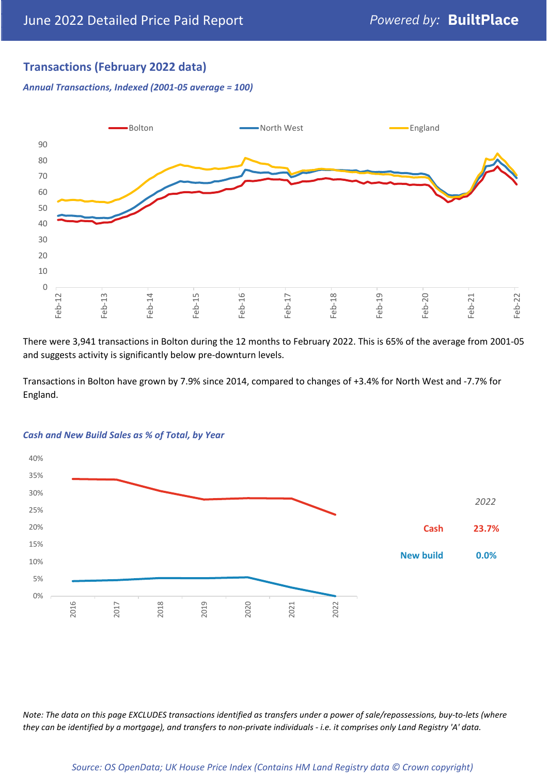#### **Transactions (February 2022 data)**

*Annual Transactions, Indexed (2001-05 average = 100)*



There were 3,941 transactions in Bolton during the 12 months to February 2022. This is 65% of the average from 2001-05 and suggests activity is significantly below pre-downturn levels.

Transactions in Bolton have grown by 7.9% since 2014, compared to changes of +3.4% for North West and -7.7% for England.



#### *Cash and New Build Sales as % of Total, by Year*

*Note: The data on this page EXCLUDES transactions identified as transfers under a power of sale/repossessions, buy-to-lets (where they can be identified by a mortgage), and transfers to non-private individuals - i.e. it comprises only Land Registry 'A' data.*